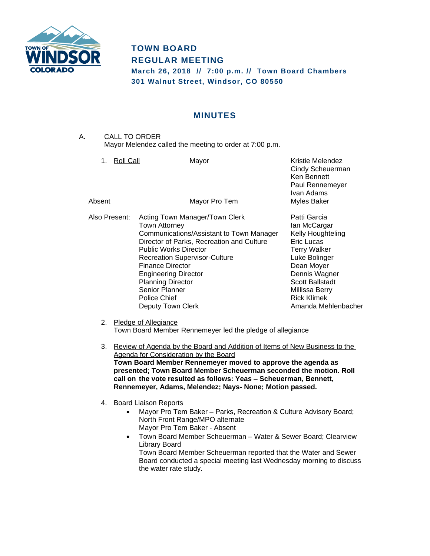

## **TOWN BOARD REGULAR MEETING**

**March 26, 2018 // 7:00 p.m. // Town Board Chambers 301 Walnut Street, Windsor, CO 80550**

## **MINUTES**

A. CALL TO ORDER Mayor Melendez called the meeting to order at 7:00 p.m.

| Roll Call<br>1. | Mayor                                                                                                                                                                                                                                                                                                                                                                | Kristie Melendez<br>Cindy Scheuerman<br>Ken Bennett<br>Paul Rennemeyer<br>Ivan Adams                                                                                                                                            |
|-----------------|----------------------------------------------------------------------------------------------------------------------------------------------------------------------------------------------------------------------------------------------------------------------------------------------------------------------------------------------------------------------|---------------------------------------------------------------------------------------------------------------------------------------------------------------------------------------------------------------------------------|
| Absent          | Mayor Pro Tem                                                                                                                                                                                                                                                                                                                                                        | <b>Myles Baker</b>                                                                                                                                                                                                              |
| Also Present:   | Acting Town Manager/Town Clerk<br>Town Attorney<br>Communications/Assistant to Town Manager<br>Director of Parks, Recreation and Culture<br><b>Public Works Director</b><br><b>Recreation Supervisor-Culture</b><br><b>Finance Director</b><br><b>Engineering Director</b><br><b>Planning Director</b><br><b>Senior Planner</b><br>Police Chief<br>Deputy Town Clerk | Patti Garcia<br>lan McCargar<br>Kelly Houghteling<br>Eric Lucas<br><b>Terry Walker</b><br>Luke Bolinger<br>Dean Moyer<br>Dennis Wagner<br><b>Scott Ballstadt</b><br>Millissa Berry<br><b>Rick Klimek</b><br>Amanda Mehlenbacher |
| 2.              | Pledge of Allegiance                                                                                                                                                                                                                                                                                                                                                 |                                                                                                                                                                                                                                 |
|                 | Town Board Member Rennemeyer led the pledge of allegiance                                                                                                                                                                                                                                                                                                            |                                                                                                                                                                                                                                 |

- 3. Review of Agenda by the Board and Addition of Items of New Business to the Agenda for Consideration by the Board **Town Board Member Rennemeyer moved to approve the agenda as presented; Town Board Member Scheuerman seconded the motion. Roll call on the vote resulted as follows: Yeas – Scheuerman, Bennett, Rennemeyer, Adams, Melendez; Nays- None; Motion passed.**
- 4. Board Liaison Reports
	- Mayor Pro Tem Baker Parks, Recreation & Culture Advisory Board; North Front Range/MPO alternate Mayor Pro Tem Baker - Absent
	- Town Board Member Scheuerman Water & Sewer Board; Clearview Library Board Town Board Member Scheuerman reported that the Water and Sewer Board conducted a special meeting last Wednesday morning to discuss the water rate study.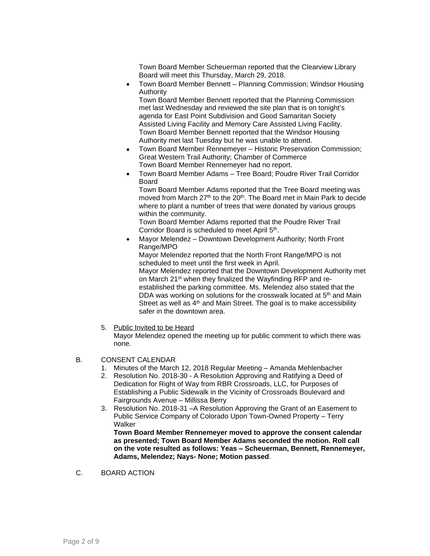Town Board Member Scheuerman reported that the Clearview Library Board will meet this Thursday, March 29, 2018.

 Town Board Member Bennett – Planning Commission; Windsor Housing Authority

Town Board Member Bennett reported that the Planning Commission met last Wednesday and reviewed the site plan that is on tonight's agenda for East Point Subdivision and Good Samaritan Society Assisted Living Facility and Memory Care Assisted Living Facility. Town Board Member Bennett reported that the Windsor Housing Authority met last Tuesday but he was unable to attend.

- Town Board Member Rennemeyer Historic Preservation Commission; Great Western Trail Authority; Chamber of Commerce Town Board Member Rennemeyer had no report.
- Town Board Member Adams Tree Board; Poudre River Trail Corridor Board

Town Board Member Adams reported that the Tree Board meeting was moved from March 27<sup>th</sup> to the 20<sup>th</sup>. The Board met in Main Park to decide where to plant a number of trees that were donated by various groups within the community.

Town Board Member Adams reported that the Poudre River Trail Corridor Board is scheduled to meet April 5<sup>th</sup>.

 Mayor Melendez – Downtown Development Authority; North Front Range/MPO

Mayor Melendez reported that the North Front Range/MPO is not scheduled to meet until the first week in April.

Mayor Melendez reported that the Downtown Development Authority met on March 21<sup>st</sup> when they finalized the Wayfinding RFP and reestablished the parking committee. Ms. Melendez also stated that the DDA was working on solutions for the crosswalk located at 5<sup>th</sup> and Main Street as well as  $4<sup>th</sup>$  and Main Street. The goal is to make accessibility safer in the downtown area.

5. Public Invited to be Heard

Mayor Melendez opened the meeting up for public comment to which there was none.

- B. CONSENT CALENDAR
	- 1. Minutes of the March 12, 2018 Regular Meeting Amanda Mehlenbacher
	- 2. Resolution No. 2018-30 A Resolution Approving and Ratifying a Deed of Dedication for Right of Way from RBR Crossroads, LLC, for Purposes of Establishing a Public Sidewalk in the Vicinity of Crossroads Boulevard and Fairgrounds Avenue – Millissa Berry
	- 3. Resolution No. 2018-31 –A Resolution Approving the Grant of an Easement to Public Service Company of Colorado Upon Town-Owned Property – Terry **Walker**

**Town Board Member Rennemeyer moved to approve the consent calendar as presented; Town Board Member Adams seconded the motion. Roll call on the vote resulted as follows: Yeas – Scheuerman, Bennett, Rennemeyer, Adams, Melendez; Nays- None; Motion passed**.

C. BOARD ACTION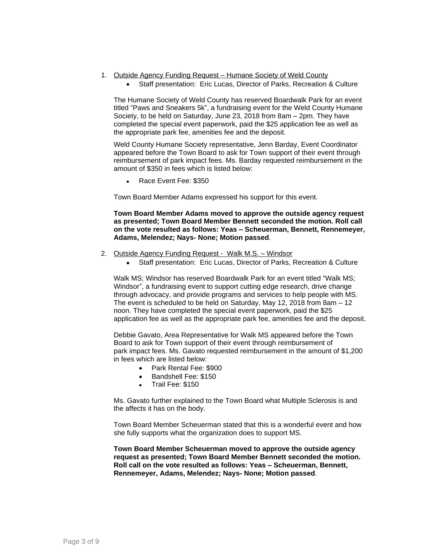- 1. Outside Agency Funding Request Humane Society of Weld County
	- Staff presentation: Eric Lucas, Director of Parks, Recreation & Culture

The Humane Society of Weld County has reserved Boardwalk Park for an event titled "Paws and Sneakers 5k", a fundraising event for the Weld County Humane Society, to be held on Saturday, June 23, 2018 from 8am – 2pm. They have completed the special event paperwork, paid the \$25 application fee as well as the appropriate park fee, amenities fee and the deposit.

Weld County Humane Society representative, Jenn Barday, Event Coordinator appeared before the Town Board to ask for Town support of their event through reimbursement of park impact fees. Ms. Barday requested reimbursement in the amount of \$350 in fees which is listed below:

• Race Event Fee: \$350

Town Board Member Adams expressed his support for this event.

**Town Board Member Adams moved to approve the outside agency request as presented; Town Board Member Bennett seconded the motion. Roll call on the vote resulted as follows: Yeas – Scheuerman, Bennett, Rennemeyer, Adams, Melendez; Nays- None; Motion passed**.

- 2. Outside Agency Funding Request Walk M.S. Windsor
	- Staff presentation: Eric Lucas, Director of Parks, Recreation & Culture

Walk MS; Windsor has reserved Boardwalk Park for an event titled "Walk MS; Windsor", a fundraising event to support cutting edge research, drive change through advocacy, and provide programs and services to help people with MS. The event is scheduled to be held on Saturday, May 12, 2018 from 8am – 12 noon. They have completed the special event paperwork, paid the \$25 application fee as well as the appropriate park fee, amenities fee and the deposit.

Debbie Gavato, Area Representative for Walk MS appeared before the Town Board to ask for Town support of their event through reimbursement of park impact fees. Ms. Gavato requested reimbursement in the amount of \$1,200 in fees which are listed below:

- Park Rental Fee: \$900
- Bandshell Fee: \$150
- Trail Fee: \$150

Ms. Gavato further explained to the Town Board what Multiple Sclerosis is and the affects it has on the body.

Town Board Member Scheuerman stated that this is a wonderful event and how she fully supports what the organization does to support MS.

**Town Board Member Scheuerman moved to approve the outside agency request as presented; Town Board Member Bennett seconded the motion. Roll call on the vote resulted as follows: Yeas – Scheuerman, Bennett, Rennemeyer, Adams, Melendez; Nays- None; Motion passed**.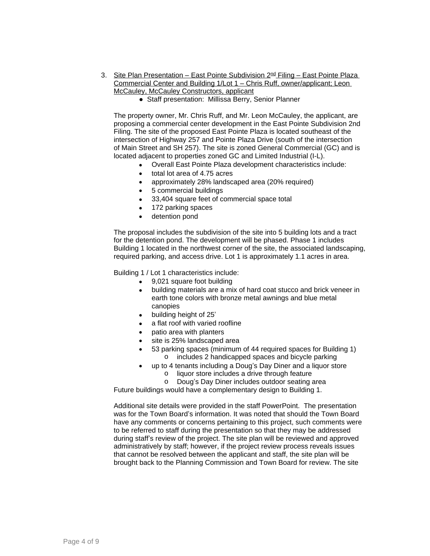- 3. Site Plan Presentation East Pointe Subdivision 2<sup>nd</sup> Filing East Pointe Plaza Commercial Center and Building 1/Lot 1 – Chris Ruff, owner/applicant; Leon McCauley, McCauley Constructors, applicant
	- Staff presentation: Millissa Berry, Senior Planner

The property owner, Mr. Chris Ruff, and Mr. Leon McCauley, the applicant, are proposing a commercial center development in the East Pointe Subdivision 2nd Filing. The site of the proposed East Pointe Plaza is located southeast of the intersection of Highway 257 and Pointe Plaza Drive (south of the intersection of Main Street and SH 257). The site is zoned General Commercial (GC) and is located adjacent to properties zoned GC and Limited Industrial (I-L).

- Overall East Pointe Plaza development characteristics include:
- total lot area of 4.75 acres
- approximately 28% landscaped area (20% required)
- 5 commercial buildings
- 33,404 square feet of commercial space total
- 172 parking spaces
- detention pond

The proposal includes the subdivision of the site into 5 building lots and a tract for the detention pond. The development will be phased. Phase 1 includes Building 1 located in the northwest corner of the site, the associated landscaping, required parking, and access drive. Lot 1 is approximately 1.1 acres in area.

Building 1 / Lot 1 characteristics include:

- 9,021 square foot building
- building materials are a mix of hard coat stucco and brick veneer in earth tone colors with bronze metal awnings and blue metal canopies
- building height of 25'
- a flat roof with varied roofline
- patio area with planters
- site is 25% landscaped area
- 53 parking spaces (minimum of 44 required spaces for Building 1) o includes 2 handicapped spaces and bicycle parking
- up to 4 tenants including a Doug's Day Diner and a liquor store
	- o liquor store includes a drive through feature
	- o Doug's Day Diner includes outdoor seating area

Future buildings would have a complementary design to Building 1.

Additional site details were provided in the staff PowerPoint. The presentation was for the Town Board's information. It was noted that should the Town Board have any comments or concerns pertaining to this project, such comments were to be referred to staff during the presentation so that they may be addressed during staff's review of the project. The site plan will be reviewed and approved administratively by staff; however, if the project review process reveals issues that cannot be resolved between the applicant and staff, the site plan will be brought back to the Planning Commission and Town Board for review. The site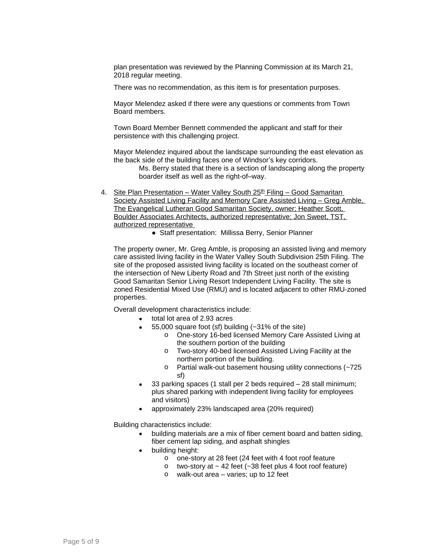plan presentation was reviewed by the Planning Commission at its March 21, 2018 regular meeting.

There was no recommendation, as this item is for presentation purposes.

Mayor Melendez asked if there were any questions or comments from Town Board members.

Town Board Member Bennett commended the applicant and staff for their persistence with this challenging project.

Mayor Melendez inquired about the landscape surrounding the east elevation as the back side of the building faces one of Windsor's key corridors.

Ms. Berry stated that there is a section of landscaping along the property boarder itself as well as the right-of–way.

- 4. Site Plan Presentation Water Valley South 25<sup>th</sup> Filing Good Samaritan Society Assisted Living Facility and Memory Care Assisted Living – Greg Amble, The Evangelical Lutheran Good Samaritan Society, owner; Heather Scott, Boulder Associates Architects, authorized representative; Jon Sweet, TST, authorized representative
	- Staff presentation: Millissa Berry, Senior Planner

The property owner, Mr. Greg Amble, is proposing an assisted living and memory care assisted living facility in the Water Valley South Subdivision 25th Filing. The site of the proposed assisted living facility is located on the southeast corner of the intersection of New Liberty Road and 7th Street just north of the existing Good Samaritan Senior Living Resort Independent Living Facility. The site is zoned Residential Mixed Use (RMU) and is located adjacent to other RMU-zoned properties.

Overall development characteristics include:

- total lot area of 2.93 acres
- 55,000 square foot (sf) building (~31% of the site)
	- o One-story 16-bed licensed Memory Care Assisted Living at the southern portion of the building
	- o Two-story 40-bed licensed Assisted Living Facility at the northern portion of the building.
	- o Partial walk-out basement housing utility connections (~725 sf)
- 33 parking spaces (1 stall per 2 beds required 28 stall minimum; plus shared parking with independent living facility for employees and visitors)
- approximately 23% landscaped area (20% required)

Building characteristics include:

- building materials are a mix of fiber cement board and batten siding, fiber cement lap siding, and asphalt shingles
- building height:
	- o one-story at 28 feet (24 feet with 4 foot roof feature
	- $\circ$  two-story at  $\sim$  42 feet ( $\sim$ 38 feet plus 4 foot roof feature)
	- o walk-out area varies; up to 12 feet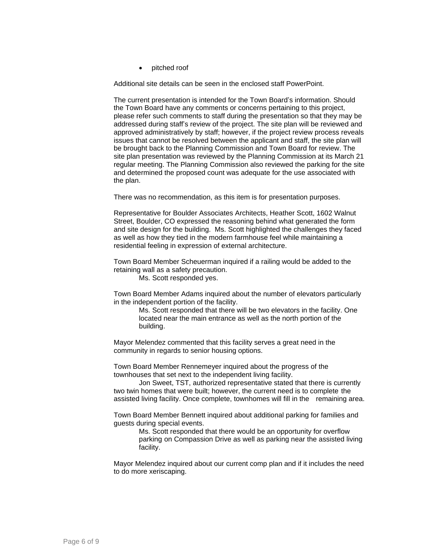pitched roof

Additional site details can be seen in the enclosed staff PowerPoint.

The current presentation is intended for the Town Board's information. Should the Town Board have any comments or concerns pertaining to this project, please refer such comments to staff during the presentation so that they may be addressed during staff's review of the project. The site plan will be reviewed and approved administratively by staff; however, if the project review process reveals issues that cannot be resolved between the applicant and staff, the site plan will be brought back to the Planning Commission and Town Board for review. The site plan presentation was reviewed by the Planning Commission at its March 21 regular meeting. The Planning Commission also reviewed the parking for the site and determined the proposed count was adequate for the use associated with the plan.

There was no recommendation, as this item is for presentation purposes.

Representative for Boulder Associates Architects, Heather Scott, 1602 Walnut Street, Boulder, CO expressed the reasoning behind what generated the form and site design for the building. Ms. Scott highlighted the challenges they faced as well as how they tied in the modern farmhouse feel while maintaining a residential feeling in expression of external architecture.

Town Board Member Scheuerman inquired if a railing would be added to the retaining wall as a safety precaution.

Ms. Scott responded yes.

Town Board Member Adams inquired about the number of elevators particularly in the independent portion of the facility.

> Ms. Scott responded that there will be two elevators in the facility. One located near the main entrance as well as the north portion of the building.

Mayor Melendez commented that this facility serves a great need in the community in regards to senior housing options.

Town Board Member Rennemeyer inquired about the progress of the townhouses that set next to the independent living facility.

Jon Sweet, TST, authorized representative stated that there is currently two twin homes that were built; however, the current need is to complete the assisted living facility. Once complete, townhomes will fill in the remaining area.

Town Board Member Bennett inquired about additional parking for families and guests during special events.

> Ms. Scott responded that there would be an opportunity for overflow parking on Compassion Drive as well as parking near the assisted living facility.

Mayor Melendez inquired about our current comp plan and if it includes the need to do more xeriscaping.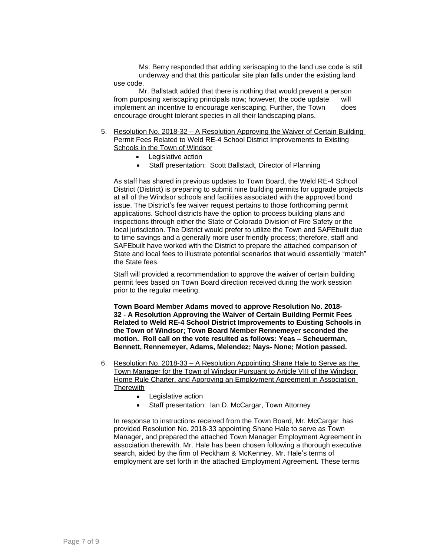Ms. Berry responded that adding xeriscaping to the land use code is still underway and that this particular site plan falls under the existing land use code.

Mr. Ballstadt added that there is nothing that would prevent a person from purposing xeriscaping principals now; however, the code update will implement an incentive to encourage xeriscaping. Further, the Town does encourage drought tolerant species in all their landscaping plans.

- 5. Resolution No. 2018-32 A Resolution Approving the Waiver of Certain Building Permit Fees Related to Weld RE-4 School District Improvements to Existing Schools in the Town of Windsor
	- Legislative action
	- Staff presentation: Scott Ballstadt, Director of Planning

As staff has shared in previous updates to Town Board, the Weld RE-4 School District (District) is preparing to submit nine building permits for upgrade projects at all of the Windsor schools and facilities associated with the approved bond issue. The District's fee waiver request pertains to those forthcoming permit applications. School districts have the option to process building plans and inspections through either the State of Colorado Division of Fire Safety or the local jurisdiction. The District would prefer to utilize the Town and SAFEbuilt due to time savings and a generally more user friendly process; therefore, staff and SAFEbuilt have worked with the District to prepare the attached comparison of State and local fees to illustrate potential scenarios that would essentially "match" the State fees.

Staff will provided a recommendation to approve the waiver of certain building permit fees based on Town Board direction received during the work session prior to the regular meeting.

**Town Board Member Adams moved to approve Resolution No. 2018- 32 - A Resolution Approving the Waiver of Certain Building Permit Fees Related to Weld RE-4 School District Improvements to Existing Schools in the Town of Windsor; Town Board Member Rennemeyer seconded the motion. Roll call on the vote resulted as follows: Yeas – Scheuerman, Bennett, Rennemeyer, Adams, Melendez; Nays- None; Motion passed.**

- 6. Resolution No. 2018-33 A Resolution Appointing Shane Hale to Serve as the Town Manager for the Town of Windsor Pursuant to Article VIII of the Windsor Home Rule Charter, and Approving an Employment Agreement in Association **Therewith** 
	- Legislative action
	- Staff presentation: Ian D. McCargar, Town Attorney

In response to instructions received from the Town Board, Mr. McCargar has provided Resolution No. 2018-33 appointing Shane Hale to serve as Town Manager, and prepared the attached Town Manager Employment Agreement in association therewith. Mr. Hale has been chosen following a thorough executive search, aided by the firm of Peckham & McKenney. Mr. Hale's terms of employment are set forth in the attached Employment Agreement. These terms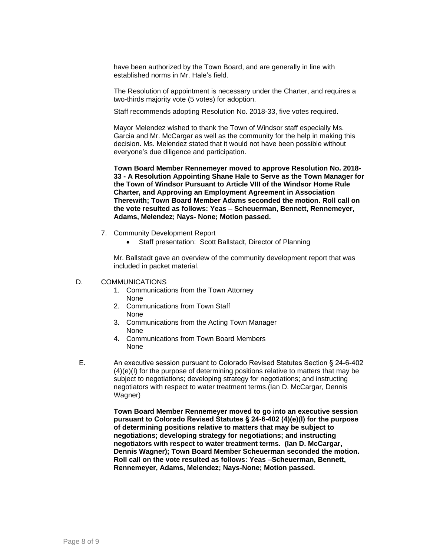have been authorized by the Town Board, and are generally in line with established norms in Mr. Hale's field.

The Resolution of appointment is necessary under the Charter, and requires a two-thirds majority vote (5 votes) for adoption.

Staff recommends adopting Resolution No. 2018-33, five votes required.

Mayor Melendez wished to thank the Town of Windsor staff especially Ms. Garcia and Mr. McCargar as well as the community for the help in making this decision. Ms. Melendez stated that it would not have been possible without everyone's due diligence and participation.

**Town Board Member Rennemeyer moved to approve Resolution No. 2018- 33 - A Resolution Appointing Shane Hale to Serve as the Town Manager for the Town of Windsor Pursuant to Article VIII of the Windsor Home Rule Charter, and Approving an Employment Agreement in Association Therewith; Town Board Member Adams seconded the motion. Roll call on the vote resulted as follows: Yeas – Scheuerman, Bennett, Rennemeyer, Adams, Melendez; Nays- None; Motion passed.**

- 7. Community Development Report
	- Staff presentation: Scott Ballstadt, Director of Planning

Mr. Ballstadt gave an overview of the community development report that was included in packet material.

## D. COMMUNICATIONS

- 1. Communications from the Town Attorney None
- 2. Communications from Town Staff None
- 3. Communications from the Acting Town Manager None
- 4. Communications from Town Board Members None
- E. An executive session pursuant to Colorado Revised Statutes Section § 24-6-402 (4)(e)(I) for the purpose of determining positions relative to matters that may be subject to negotiations; developing strategy for negotiations; and instructing negotiators with respect to water treatment terms.(Ian D. McCargar, Dennis Wagner)

**Town Board Member Rennemeyer moved to go into an executive session pursuant to Colorado Revised Statutes § 24-6-402 (4)(e)(I) for the purpose of determining positions relative to matters that may be subject to negotiations; developing strategy for negotiations; and instructing negotiators with respect to water treatment terms. (Ian D. McCargar, Dennis Wagner); Town Board Member Scheuerman seconded the motion. Roll call on the vote resulted as follows: Yeas –Scheuerman, Bennett, Rennemeyer, Adams, Melendez; Nays-None; Motion passed.**